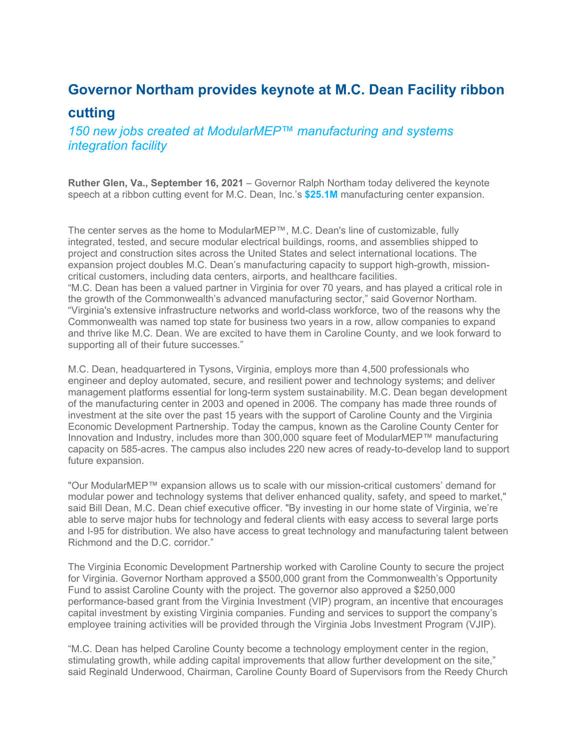## **Governor Northam provides keynote at M.C. Dean Facility ribbon cutting**

*150 new jobs created at ModularMEP™ manufacturing and systems integration facility* 

**Ruther Glen, Va., September 16, 2021** – Governor Ralph Northam today delivered the keynote speech at a ribbon cutting event for M.C. Dean, Inc.'s **\$25.1M** manufacturing center expansion.

The center serves as the home to ModularMEP™, M.C. Dean's line of customizable, fully integrated, tested, and secure modular electrical buildings, rooms, and assemblies shipped to project and construction sites across the United States and select international locations. The expansion project doubles M.C. Dean's manufacturing capacity to support high-growth, missioncritical customers, including data centers, airports, and healthcare facilities. "M.C. Dean has been a valued partner in Virginia for over 70 years, and has played a critical role in the growth of the Commonwealth's advanced manufacturing sector," said Governor Northam. "Virginia's extensive infrastructure networks and world-class workforce, two of the reasons why the Commonwealth was named top state for business two years in a row, allow companies to expand and thrive like M.C. Dean. We are excited to have them in Caroline County, and we look forward to supporting all of their future successes."

M.C. Dean, headquartered in Tysons, Virginia, employs more than 4,500 professionals who engineer and deploy automated, secure, and resilient power and technology systems; and deliver management platforms essential for long-term system sustainability. M.C. Dean began development of the manufacturing center in 2003 and opened in 2006. The company has made three rounds of investment at the site over the past 15 years with the support of Caroline County and the Virginia Economic Development Partnership. Today the campus, known as the Caroline County Center for Innovation and Industry, includes more than 300,000 square feet of ModularMEP™ manufacturing capacity on 585-acres. The campus also includes 220 new acres of ready-to-develop land to support future expansion.

"Our ModularMEP™ expansion allows us to scale with our mission-critical customers' demand for modular power and technology systems that deliver enhanced quality, safety, and speed to market," said Bill Dean, M.C. Dean chief executive officer. "By investing in our home state of Virginia, we're able to serve major hubs for technology and federal clients with easy access to several large ports and I-95 for distribution. We also have access to great technology and manufacturing talent between Richmond and the D.C. corridor."

The Virginia Economic Development Partnership worked with Caroline County to secure the project for Virginia. Governor Northam approved a \$500,000 grant from the Commonwealth's Opportunity Fund to assist Caroline County with the project. The governor also approved a \$250,000 performance-based grant from the Virginia Investment (VIP) program, an incentive that encourages capital investment by existing Virginia companies. Funding and services to support the company's employee training activities will be provided through the Virginia Jobs Investment Program (VJIP).

"M.C. Dean has helped Caroline County become a technology employment center in the region, stimulating growth, while adding capital improvements that allow further development on the site," said Reginald Underwood, Chairman, Caroline County Board of Supervisors from the Reedy Church